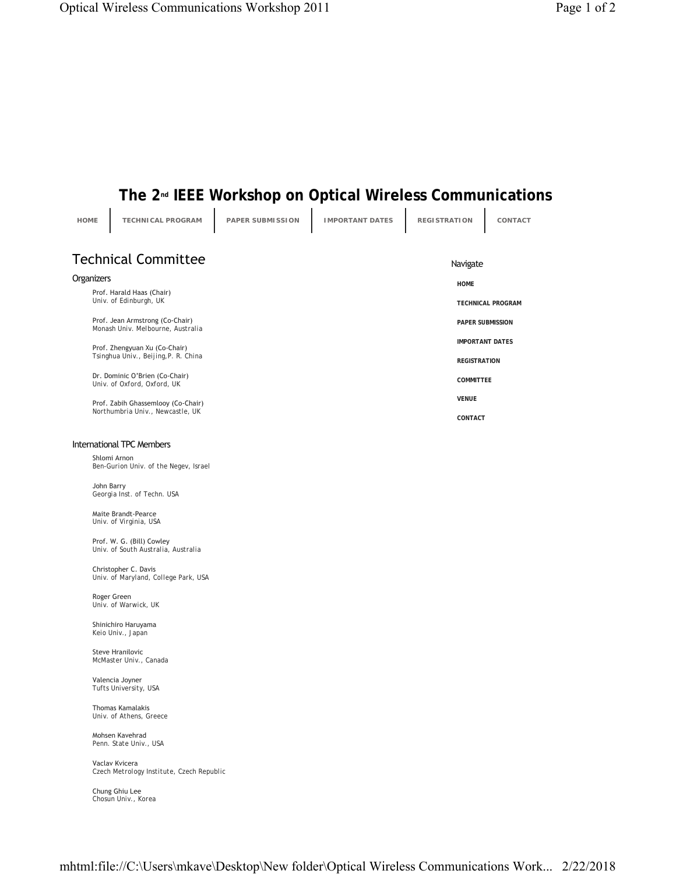## The 2<sup>nd</sup> IEEE Workshop on Optical Wireless Communications

| <b>HOME</b>                            | TECHNICAL PROGRAM                                                      | PAPER SUBMISSION | <b>IMPORTANT DATES</b> | <b>REGISTRATION</b>    | CONTACT                  |  |
|----------------------------------------|------------------------------------------------------------------------|------------------|------------------------|------------------------|--------------------------|--|
| <b>Technical Committee</b><br>Navigate |                                                                        |                  |                        |                        |                          |  |
| Organizers                             |                                                                        |                  |                        |                        |                          |  |
| Prof. Harald Haas (Chair)              |                                                                        |                  | <b>HOME</b>            |                        |                          |  |
|                                        | Univ. of Edinburgh, UK                                                 |                  |                        |                        | <b>TECHNICAL PROGRAM</b> |  |
|                                        | Prof. Jean Armstrong (Co-Chair)<br>Monash Univ. Melbourne, Australia   |                  |                        |                        | <b>PAPER SUBMISSION</b>  |  |
|                                        | Prof. Zhengyuan Xu (Co-Chair)<br>Tsinghua Univ., Beijing, P. R. China  |                  |                        | <b>IMPORTANT DATES</b> |                          |  |
|                                        |                                                                        |                  |                        | <b>REGISTRATION</b>    |                          |  |
|                                        | Dr. Dominic O'Brien (Co-Chair)<br>Univ. of Oxford, Oxford, UK          |                  |                        | <b>COMMITTEE</b>       |                          |  |
|                                        | Prof. Zabih Ghassemlooy (Co-Chair)<br>Northumbria Univ., Newcastle, UK |                  |                        | <b>VENUE</b>           |                          |  |
|                                        |                                                                        |                  |                        | CONTACT                |                          |  |
| <b>International TPC Members</b>       |                                                                        |                  |                        |                        |                          |  |
|                                        | Shlomi Arnon<br>Ben-Gurion Univ. of the Negev, Israel                  |                  |                        |                        |                          |  |
|                                        | John Barry<br>Georgia Inst. of Techn. USA                              |                  |                        |                        |                          |  |
|                                        | Maite Brandt-Pearce<br>Univ. of Virginia, USA                          |                  |                        |                        |                          |  |
|                                        | Prof. W. G. (Bill) Cowley<br>Univ. of South Australia, Australia       |                  |                        |                        |                          |  |
|                                        | Christopher C. Davis<br>Univ. of Maryland, College Park, USA           |                  |                        |                        |                          |  |
|                                        | Roger Green<br>Univ. of Warwick, UK                                    |                  |                        |                        |                          |  |
|                                        | Shinichiro Haruyama<br>Keio Univ., Japan                               |                  |                        |                        |                          |  |
|                                        | Steve Hranilovic<br>McMaster Univ., Canada                             |                  |                        |                        |                          |  |
|                                        | Valencia Joyner<br>Tufts University, USA                               |                  |                        |                        |                          |  |
|                                        | Thomas Kamalakis<br>Univ. of Athens, Greece                            |                  |                        |                        |                          |  |
|                                        | Mohsen Kavehrad<br>Penn. State Univ., USA                              |                  |                        |                        |                          |  |
|                                        | Vaclav Kvicera<br>Czech Metrology Institute, Czech Republic            |                  |                        |                        |                          |  |

Chung Ghiu Lee *Chosun Univ., Korea*